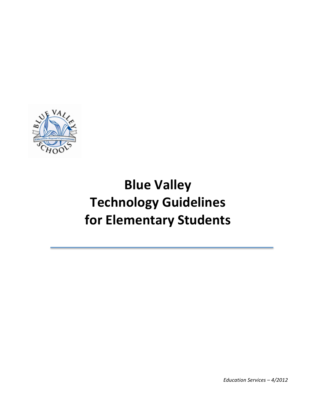

# **Blue Valley Technology Guidelines for Elementary Students**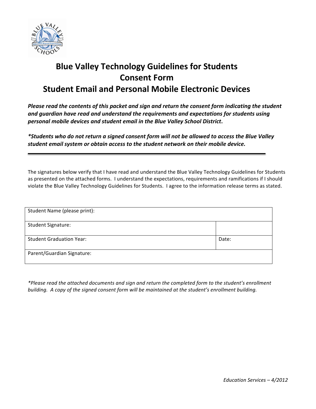

#### **Blue Valley Technology Guidelines for Students Consent Form Student Email and Personal Mobile Electronic Devices**

*Please read the contents of this packet and sign and return the consent form indicating the student* and quardian have read and understand the requirements and expectations for students using *personal mobile devices and student email in the Blue Valley School District***.**

\*Students who do not return a signed consent form will not be allowed to access the Blue Valley student email system or obtain access to the student network on their mobile device.

The signatures below verify that I have read and understand the Blue Valley Technology Guidelines for Students as presented on the attached forms. I understand the expectations, requirements and ramifications if I should violate the Blue Valley Technology Guidelines for Students. I agree to the information release terms as stated.

| Student Name (please print):    |       |
|---------------------------------|-------|
| <b>Student Signature:</b>       |       |
| <b>Student Graduation Year:</b> | Date: |
| Parent/Guardian Signature:      |       |

*\*Please read the attached documents and sign and return the completed form to the student's enrollment*  building. A copy of the signed consent form will be maintained at the student's enrollment building.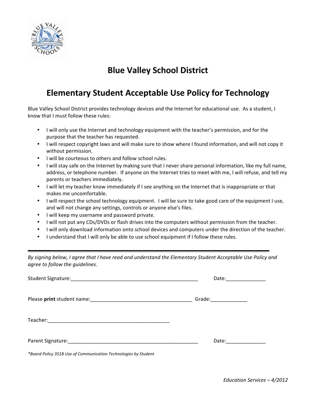

### **Blue Valley School District**

#### **Elementary Student Acceptable Use Policy for Technology**

Blue Valley School District provides technology devices and the Internet for educational use. As a student, I know that I must follow these rules:

- I will only use the Internet and technology equipment with the teacher's permission, and for the purpose that the teacher has requested.
- I will respect copyright laws and will make sure to show where I found information, and will not copy it without permission.
- I will be courteous to others and follow school rules.
- I will stay safe on the Internet by making sure that I never share personal information, like my full name, address, or telephone number. If anyone on the Internet tries to meet with me, I will refuse, and tell my parents or teachers immediately.
- I will let my teacher know immediately if I see anything on the Internet that is inappropriate or that makes me uncomfortable.
- I will respect the school technology equipment. I will be sure to take good care of the equipment I use, and will not change any settings, controls or anyone else's files.
- I will keep my username and password private.
- I will not put any CDs/DVDs or flash drives into the computers without permission from the teacher.
- I will only download information onto school devices and computers under the direction of the teacher.
- I understand that I will only be able to use school equipment if I follow these rules.

By signing below, I agree that I have read and understand the Elementary Student Acceptable Use Policy and *agree to follow the guidelines.*

|                                                                 | Date: ________________ |
|-----------------------------------------------------------------|------------------------|
|                                                                 | Grade:_______________  |
|                                                                 |                        |
|                                                                 | Date: ______________   |
| *Board Policy 3518 Use of Communication Technologies by Student |                        |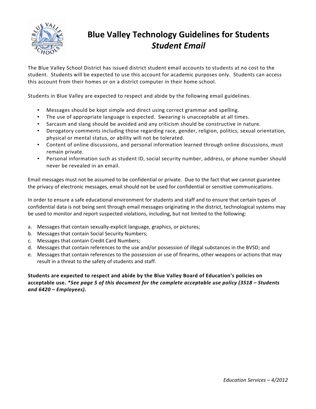

## **Blue Valley Technology Guidelines for Students** *Student Email*

The Blue Valley School District has issued district student email accounts to students at no cost to the student. Students will be expected to use this account for academic purposes only. Students can access this account from their homes or on a district computer in their home school.

Students in Blue Valley are expected to respect and abide by the following email guidelines.

- Messages should be kept simple and direct using correct grammar and spelling.
- The use of appropriate language is expected. Swearing is unacceptable at all times.
- Sarcasm and slang should be avoided and any criticism should be constructive in nature.
- Derogatory comments including those regarding race, gender, religion, politics, sexual orientation, physical or mental status, or ability will not be tolerated.
- Content of online discussions, and personal information learned through online discussions, must remain private.
- Personal information such as student ID, social security number, address, or phone number should never be revealed in an email.

Email messages must not be assumed to be confidential or private. Due to the fact that we cannot guarantee the privacy of electronic messages, email should not be used for confidential or sensitive communications.

In order to ensure a safe educational environment for students and staff and to ensure that certain types of confidential data is not being sent through email messages originating in the district, technological systems may be used to monitor and report suspected violations, including, but not limited to the following:

- a. Messages that contain sexually-explicit language, graphics, or pictures;
- b. Messages that contain Social Security Numbers;
- c. Messages that contain Credit Card Numbers;
- d. Messages that contain references to the use and/or possession of illegal substances in the BVSD; and
- e. Messages that contain references to the possession or use of firearms, other weapons or actions that may result in a threat to the safety of students and staff.

Students are expected to respect and abide by the Blue Valley Board of Education's policies on acceptable use. *\*See page 5 of this document for the complete acceptable use policy (3518 – Students and 6420 – Employees).*